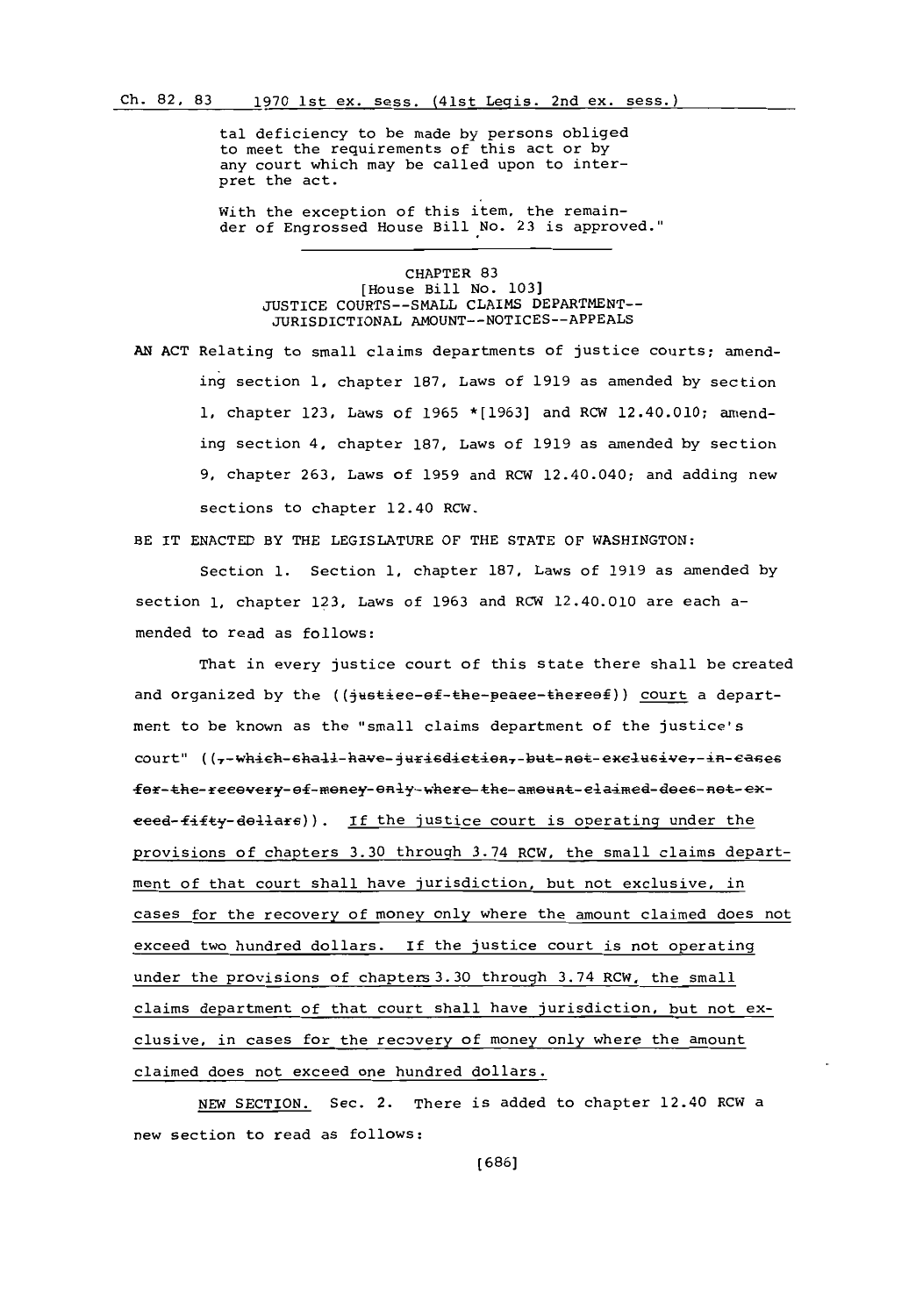tal deficiency to be made **by** persons obliged to meet the requirements of this act or **by** any court which may be called upon to interpret the act.

With the exception of this item, the remainder of Engrossed House Bill No. **23** is approved."

## CHAPTER **83** [House Bill No. **103] JUSTICE COURTS--SMALL** CLAIMS DEPARTMENT-- JURISDICTIONAL **AMOUNT--NOTICES--APPEALS**

**AN ACT** Relating to small claims departments of justice courts; amending section **1,** chapter **187,** Laws of **1919** as amended **by** section **1,** chapter **123,** Laws of **1965 \*[1963]** and RCW 12.40.010; amending section 4, chapter **187.** Laws of **1919** as amended **by** section **9,** chapter **263,** Laws of **1959** and RCW 12.40.040; and adding new sections to chapter 12.40 RCW.

BE IT **ENACTED** BY THE LEGISLATURE OF THE **STATE** OF **WASHINGTON:**

Section **1.** Section **1,** chapter **187,** Laws of **1919** as amended **by** section **1,** chapter **123,** Laws of **1963** and RCW 12.40.010 are each amended to read as follows:

That in every justice court of this state there shall be created and organized by the ((justiee-of-the-peaee-thereof)) court a department to be known as the "small claims department of the justice's court" ((7-which-shall-have-jurisdiction,-but-not-exclusive,-in-cases fer-the-reeevery- ef-meney- enly-where the-ameunt-elaimed-dees-net-ex $eeed-fifty-dellars)$ ). If the justice court is operating under the provisions of chapters **3.30** throuqh 3.74 RCW, the small claims department of that court shall have jurisdiction, but not exclusive, in cases for the recovery of money only where the amount claimed does not exceed two hundred dollars. If the justice court is not operating under the provisions of chapters 3.30 through 3.74 RCW, the small claims department of that court shall have jurisdiction, but not exclusive, in cases for the recovery of money only where the amount claimed does not exceed one hundred dollars.

*NEW* **SECTION.** Sec. 2. There is added to chapter 12.40 RCW a new section to read as follows: